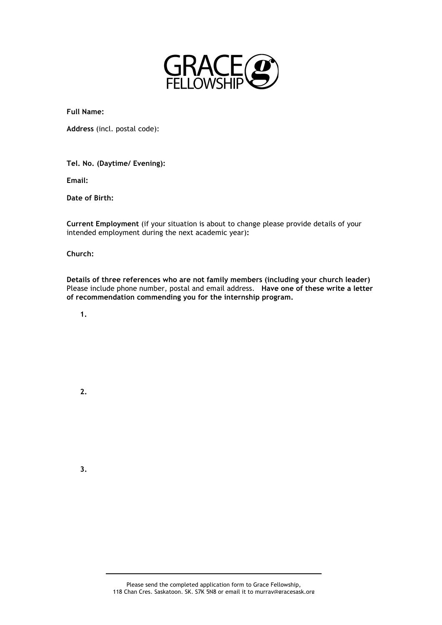

**Full Name:**

**Address** (incl. postal code):

**Tel. No. (Daytime/ Evening):** 

**Email:**

**Date of Birth:**

**Current Employment** (if your situation is about to change please provide details of your intended employment during the next academic year)**:**

## **Church:**

**Details of three references who are not family members (including your church leader)**  Please include phone number, postal and email address. **Have one of these write a letter of recommendation commending you for the internship program.** 

**1.**

 **2.**

 **3.**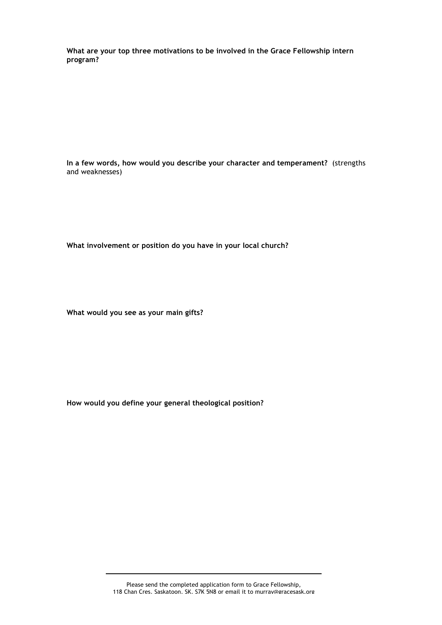**What are your top three motivations to be involved in the Grace Fellowship intern program?**

**In a few words, how would you describe your character and temperament?** (strengths and weaknesses)

**What involvement or position do you have in your local church?**

**What would you see as your main gifts?**

**How would you define your general theological position?**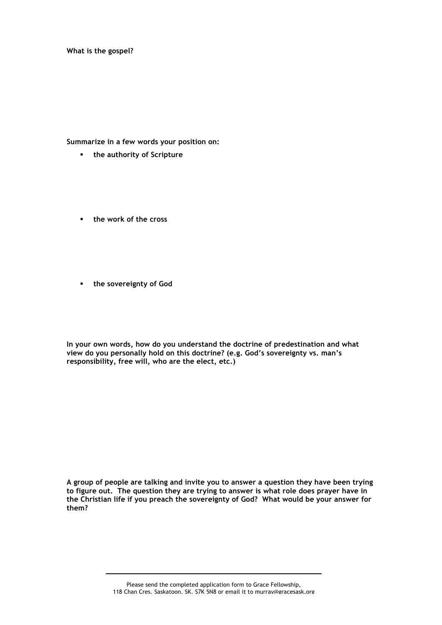**What is the gospel?**

**Summarize in a few words your position on:**

- **the authority of Scripture**
- **the work of the cross**
- **the sovereignty of God**

**In your own words, how do you understand the doctrine of predestination and what view do you personally hold on this doctrine? (e.g. God's sovereignty vs. man's responsibility, free will, who are the elect, etc.)**

**A group of people are talking and invite you to answer a question they have been trying to figure out. The question they are trying to answer is what role does prayer have in the Christian life if you preach the sovereignty of God? What would be your answer for them?**